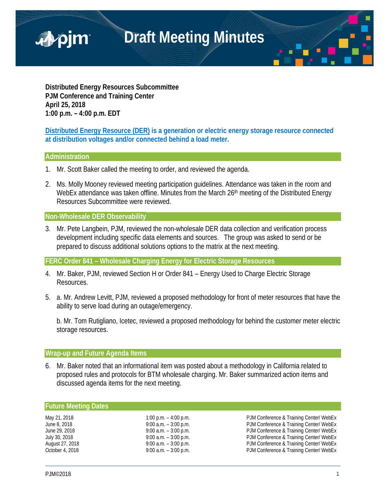

**Distributed Energy Resources Subcommittee PJM Conference and Training Center April 25, 2018 1:00 p.m. – 4:00 p.m. EDT**

**Distributed Energy Resource (DER) is a generation or electric energy storage resource connected at distribution voltages and/or connected behind a load meter.**

# **Administration**

- 1. Mr. Scott Baker called the meeting to order, and reviewed the agenda.
- 2. Ms. Molly Mooney reviewed meeting participation guidelines. Attendance was taken in the room and WebEx attendance was taken offline. Minutes from the March 26<sup>th</sup> meeting of the Distributed Energy Resources Subcommittee were reviewed.

# **Non-Wholesale DER Observability**

3. Mr. Pete Langbein, PJM, reviewed the non-wholesale DER data collection and verification process development including specific data elements and sources. The group was asked to send or be prepared to discuss additional solutions options to the matrix at the next meeting.

**FERC Order 841 – Wholesale Charging Energy for Electric Storage Resources**

- 4. Mr. Baker, PJM, reviewed Section H or Order 841 Energy Used to Charge Electric Storage Resources.
- 5. a. Mr. Andrew Levitt, PJM, reviewed a proposed methodology for front of meter resources that have the ability to serve load during an outage/emergency.

b. Mr. Tom Rutigliano, Icetec, reviewed a proposed methodology for behind the customer meter electric storage resources.

# **Wrap-up and Future Agenda Items**

6. Mr. Baker noted that an informational item was posted about a methodology in California related to proposed rules and protocols for BTM wholesale charging. Mr. Baker summarized action items and discussed agenda items for the next meeting.

### **Future Meeting Dates**

May 21, 2018 1:00 p.m. – 4:00 p.m. – 4:00 p.m. PJM Conference & Training Center/ WebEx June 8, 2018 **19:00 a.m.** – 3:00 p.m. **PJM Conference & Training Center/ WebEx** June 29, 2018 **9:00 a.m. – 3:00 p.m.** PJM Conference & Training Center/ WebEx July 30, 2018 **19:00 a.m.** – 3:00 p.m. **PJM Conference & Training Center/ WebEx** August 27, 2018 **19:00 a.m.** – 3:00 p.m. **PJM Conference & Training Center/ WebEx** October 4, 2018 9:00 a.m. – 3:00 p.m. PJM Conference & Training Center/ WebEx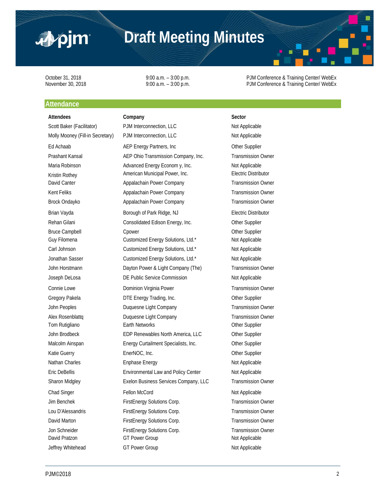

# **Draft Meeting Minutes**

October 31, 2018 **19:00 a.m.** – 3:00 p.m. **PJM Conference & Training Center/ WebEx**<br>
9:00 a.m. – 3:00 p.m. PJM Conference & Training Center/ WebEx 9:00 a.m. – 3:00 p.m. example 3:00 p.m. PJM Conference & Training Center/ WebEx

# **Attendance**

# Attendees **Company Company Sector** Jeffrey Whitehead GT Power Group CGT Power Group Not Applicable

Scott Baker (Facilitator) PJM Interconnection, LLC Not Applicable Molly Mooney (Fill-in Secretary) PJM Interconnection, LLC Not Applicable Ed Achaab **AEP Energy Partners, Inc Community Community** Other Supplier Prashant Kansal **AEP Ohio Transmission Company, Inc.** Transmission Owner Maria Robinson **Advanced Energy Econom y, Inc.** Not Applicable Kristin Rothey **American Municipal Power, Inc.** Electric Distributor David Canter Appalachain Power Company Transmission Owner Kent Feliks **Appalachain Power Company** Transmission Owner Brock Ondayko Appalachain Power Company Transmission Owner Brian Vayda **Borough of Park Ridge, NJ** Electric Distributor Rehan Gilani **Consolidated Edison Energy, Inc.** Other Supplier Bruce Campbell **C**hower Conservation Conservation Conservation Conservation Conservation Conservation Conservation Conservation Conservation Conservation Conservation Conservation Conservation Conservation Conservation Con Guy Filomena Customized Energy Solutions, Ltd.\* Not Applicable Carl Johnson Customized Energy Solutions, Ltd.\* Not Applicable Jonathan Sasser Customized Energy Solutions, Ltd.\* Not Applicable John Horstmann Dayton Power & Light Company (The) Transmission Owner Joseph DeLosa **DE Public Service Commission** Not Applicable Connie Lowe Dominion Virginia Power Transmission Owner Gregory Pakela **DTE Energy Trading, Inc. CHACK** Other Supplier John Peoples Duquesne Light Company Transmission Owner Alex Rosenblattq **Duquesne Light Company Company** Transmission Owner Tom Rutigliano **Earth Networks** Character Chemical Chemical Chemical Chemical Chemical Chemical Chemical Chemical Chemical Chemical Chemical Chemical Chemical Chemical Chemical Chemical Chemical Chemical Chemical Chemical John Brodbeck **EDP** Renewables North America, LLC **Other Supplier** Malcolm Ainspan **Energy Curtailment Specialists, Inc.** Other Supplier Katie Guerry **EnerNOC, Inc.** Change EnerNOC, Inc. Nathan Charles **Enghase Energy** Not Applicable Not Applicable Eric DeBellis **Environmental Law and Policy Center** Not Applicable Sharon Midgley **Exelon Business Services Company, LLC** Transmission Owner Chad Singer Fellon McCord **Chad Singer** Research Applicable Jim Benchek FirstEnergy Solutions Corp. Transmission Owner Lou D'Alessandris FirstEnergy Solutions Corp. Transmission Owner David Marton FirstEnergy Solutions Corp. Transmission Owner Jon Schneider FirstEnergy Solutions Corp. Transmission Owner David Pratzon **GT Power Group** GT Power Group Not Applicable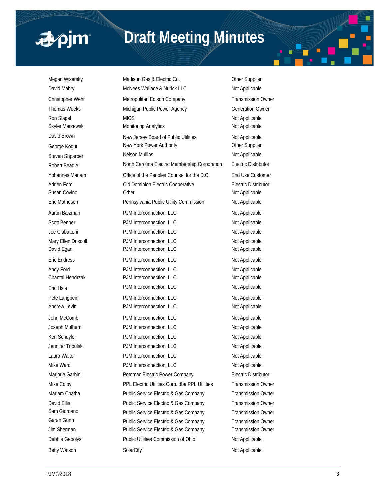# ■pjm

# **Draft Meeting Minutes**

Megan Wisersky **Madison Gas & Electric Co.** Other Supplier David Mabry **McNees Wallace & Nurick LLC** Not Applicable Christopher Wehr Metropolitan Edison Company Transmission Owner Thomas Weeks **Michigan Public Power Agency** Generation Owner Ron Slagel MICS MICS Not Applicable Skyler Marzewski Monitoring Analytics Not Applicable Not Applicable David Brown New Jersey Board of Public Utilities Not Applicable George Kogut New York Power Authority Cher Supplier Steven Shparber Nelson Mullins Not Applicable Robert Beadle North Carolina Electric Membership Corporation Electric Distributor Yohannes Mariam Office of the Peoples Counsel for the D.C. End Use Customer Adrien Ford Old Dominion Electric Cooperative Electric Distributor Susan Covino **Other Covino Covino Coving Coving Coving Coving Coving Coving Coving Coving Coving Coving Coving Coving Coving Coving Coving Coving Coving Coving Coving Coving Coving Coving Coving Coving Coving Coving Coving** Eric Matheson **Pennsylvania Public Utility Commission** Not Applicable Aaron Baizman **PJM Interconnection, LLC** Not Applicable Scott Benner **PJM Interconnection, LLC** Not Applicable Joe Ciabattoni **PJM Interconnection, LLC** Not Applicable Mary Ellen Driscoll **PJM** Interconnection, LLC Not Applicable David Egan **PJM Interconnection, LLC** Not Applicable Eric Endress **PJM Interconnection, LLC** Not Applicable Andy Ford **PJM Interconnection, LLC** Not Applicable Chantal Hendrzak **PJM Interconnection, LLC** Not Applicable Eric Hsia **PJM Interconnection, LLC** Not Applicable Pete Langbein **PJM Interconnection, LLC** Not Applicable Andrew Levitt **PJM Interconnection, LLC** Not Applicable John McComb PJM Interconnection, LLC Not Applicable Joseph Mulhern PJM Interconnection, LLC Not Applicable Ken Schuyler **PJM** Interconnection, LLC Not Applicable Jennifer Tribulski **PJM Interconnection, LLC** Not Applicable Laura Walter **Not Applicable** PJM Interconnection, LLC **Not Applicable** Mike Ward **PJM Interconnection, LLC** Not Applicable Marjorie Garbini **Potomac Electric Power Company** Electric Distributor Mike Colby PPL Electric Utilities Corp. dba PPL Utilities Transmission Owner Mariam Chatha **Public Service Electric & Gas Company** Transmission Owner David Ellis **Public Service Electric & Gas Company** Transmission Owner Sam Giordano **Public Service Electric & Gas Company** Transmission Owner Garan Gunn **Public Service Electric & Gas Company** Transmission Owner Jim Sherman **Public Service Electric & Gas Company** Transmission Owner Debbie Gebolys **Public Utilities Commission of Ohio** Not Applicable Betty Watson SolarCity SolarCity SolarCity SolarCity Not Applicable